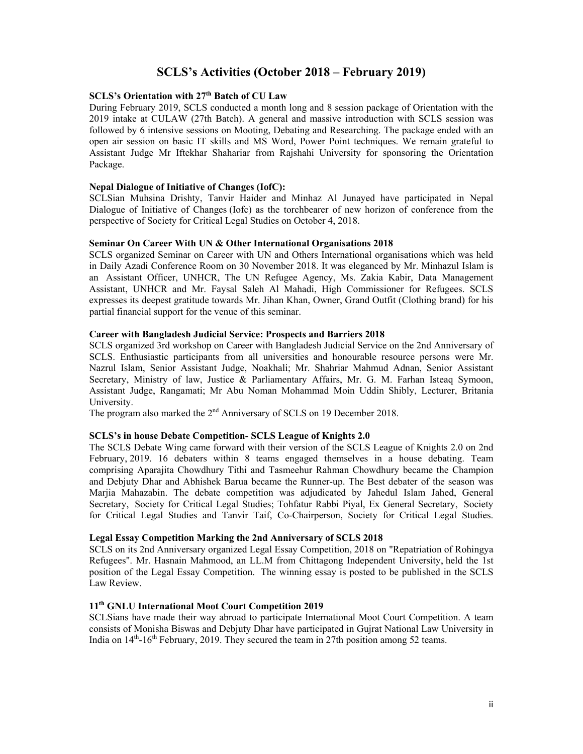# **SCLS's Activities (October 2018 – February 2019)**

# **SCLS's Orientation with 27th Batch of CU Law**

During February 2019, SCLS conducted a month long and 8 session package of Orientation with the 2019 intake at CULAW (27th Batch). A general and massive introduction with SCLS session was followed by 6 intensive sessions on Mooting, Debating and Researching. The package ended with an open air session on basic IT skills and MS Word, Power Point techniques. We remain grateful to Assistant Judge Mr Iftekhar Shahariar from Rajshahi University for sponsoring the Orientation Package.

## **Nepal Dialogue of Initiative of Changes (IofC):**

SCLSian Muhsina Drishty, Tanvir Haider and Minhaz Al Junayed have participated in Nepal Dialogue of Initiative of Changes (Iofc) as the torchbearer of new horizon of conference from the perspective of Society for Critical Legal Studies on October 4, 2018.

### **Seminar On Career With UN & Other International Organisations 2018**

SCLS organized Seminar on Career with UN and Others International organisations which was held in Daily Azadi Conference Room on 30 November 2018. It was eleganced by Mr. Minhazul Islam is an Assistant Officer, UNHCR, The UN Refugee Agency, Ms. Zakia Kabir, Data Management Assistant, UNHCR and Mr. Faysal Saleh Al Mahadi, High Commissioner for Refugees. SCLS expresses its deepest gratitude towards Mr. Jihan Khan, Owner, Grand Outfit (Clothing brand) for his partial financial support for the venue of this seminar.

#### **Career with Bangladesh Judicial Service: Prospects and Barriers 2018**

SCLS organized 3rd workshop on Career with Bangladesh Judicial Service on the 2nd Anniversary of SCLS. Enthusiastic participants from all universities and honourable resource persons were Mr. Nazrul Islam, Senior Assistant Judge, Noakhali; Mr. Shahriar Mahmud Adnan, Senior Assistant Secretary, Ministry of law, Justice & Parliamentary Affairs, Mr. G. M. Farhan Isteaq Symoon, Assistant Judge, Rangamati; Mr Abu Noman Mohammad Moin Uddin Shibly, Lecturer, Britania University.

The program also marked the 2<sup>nd</sup> Anniversary of SCLS on 19 December 2018.

#### **SCLS's in house Debate Competition- SCLS League of Knights 2.0**

The SCLS Debate Wing came forward with their version of the SCLS League of Knights 2.0 on 2nd February, 2019. 16 debaters within 8 teams engaged themselves in a house debating. Team comprising Aparajita Chowdhury Tithi and Tasmeehur Rahman Chowdhury became the Champion and Debjuty Dhar and Abhishek Barua became the Runner-up. The Best debater of the season was Marjia Mahazabin. The debate competition was adjudicated by Jahedul Islam Jahed, General Secretary, Society for Critical Legal Studies; Tohfatur Rabbi Piyal, Ex General Secretary, Society for Critical Legal Studies and Tanvir Taif, Co-Chairperson, Society for Critical Legal Studies.

#### **Legal Essay Competition Marking the 2nd Anniversary of SCLS 2018**

SCLS on its 2nd Anniversary organized Legal Essay Competition, 2018 on "Repatriation of Rohingya Refugees". Mr. Hasnain Mahmood, an LL.M from Chittagong Independent University, held the 1st position of the Legal Essay Competition. The winning essay is posted to be published in the SCLS Law Review.

## **11th GNLU International Moot Court Competition 2019**

SCLSians have made their way abroad to participate International Moot Court Competition. A team consists of Monisha Biswas and Debjuty Dhar have participated in Gujrat National Law University in India on  $14<sup>th</sup>$ -16<sup>th</sup> February, 2019. They secured the team in 27th position among 52 teams.